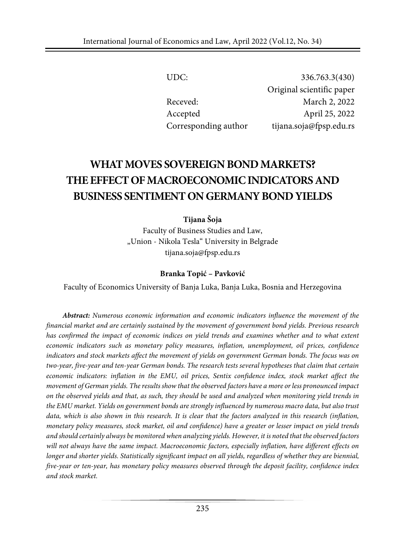UDC: 336.763.3(430) Original scientific paper Receved: March 2, 2022 Accepted April 25, 2022 Corresponding author tijana.soja@fpsp.edu.rs

# **WHAT MOVES SOVEREIGN BOND MARKETS? THEEFFECTOFMACROECONOMICINDICATORS AND BUSINESS SENTIMENTON GERMANYBONDYIELDS**

**Tijana Šoja**

Faculty of Business Studies and Law, "Union - Nikola Tesla" University in Belgrade tijana.soja@fpsp.edu.rs

#### **Branka Topić – Pavković**

Faculty of Economics University of Banja Luka, Banja Luka, Bosnia and Herzegovina

*Abstract: Numerous economic information and economic indicators influence the movement of the financial market and are certainly sustained by the movement of government bond yields. Previous research has confirmed the impact of economic indices on yield trends and examines whether and to what extent economic indicators such as monetary policy measures, inflation, unemployment, oil prices, confidence indicators and stock markets affect the movement of yields on government German bonds. The focus was on two-year, five-year and ten-year German bonds. The research tests several hypotheses that claim that certain economic indicators: inflation in the EMU, oil prices, Sentix confidence index, stock market affect the* movement of German yields. The results show that the observed factors have a more or less pronounced impact on the observed yields and that, as such, they should be used and analyzed when monitoring yield trends in *the EMU market. Yields on government bonds are strongly influenced by numerous macro data, but also trust* data, which is also shown in this research. It is clear that the factors analyzed in this research (inflation, monetary policy measures, stock market, oil and confidence) have a greater or lesser impact on yield trends and should certainly always be monitored when analyzing yields. However, it is noted that the observed factors *will not always have the same impact. Macroeconomic factors, especially inflation, have different effects on* longer and shorter yields. Statistically significant impact on all yields, regardless of whether they are biennial, *five-year or ten-year, has monetary policy measures observed through the deposit facility, confidence index and stock market.*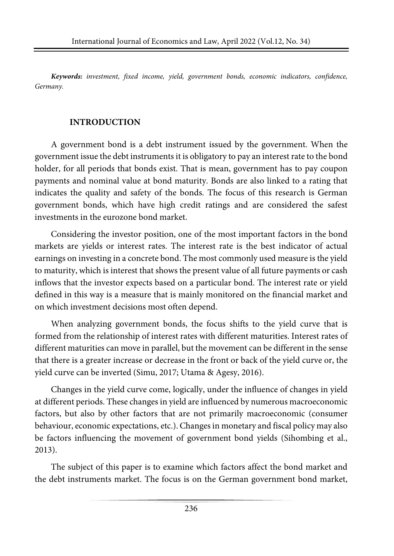*Keywords: investment, fixed income, yield, government bonds, economic indicators, confidence, Germany.*

### **INTRODUCTION**

A government bond is a debt instrument issued by the government. When the government issue the debt instruments it is obligatory to pay an interestrate to the bond holder, for all periods that bonds exist. That is mean, government has to pay coupon payments and nominal value at bond maturity. Bonds are also linked to a rating that indicates the quality and safety of the bonds. The focus of this research is German government bonds, which have high credit ratings and are considered the safest investments in the eurozone bond market.

Considering the investor position, one of the most important factors in the bond markets are yields or interest rates. The interest rate is the best indicator of actual earnings on investing in a concrete bond. The most commonly used measure is the yield to maturity, which is interest that shows the present value of all future payments or cash inflows that the investor expects based on a particular bond. The interest rate or yield defined in this way is a measure that is mainly monitored on the financial market and on which investment decisions most often depend.

When analyzing government bonds, the focus shifts to the yield curve that is formed from the relationship of interest rates with different maturities. Interest rates of different maturities can move in parallel, but the movement can be different in the sense that there is a greater increase or decrease in the front or back of the yield curve or, the yield curve can be inverted (Simu, 2017; Utama & Agesy, 2016).

Changes in the yield curve come, logically, under the influence of changes in yield at different periods. These changes in yield are influenced by numerous macroeconomic factors, but also by other factors that are not primarily macroeconomic (consumer behaviour, economic expectations, etc.). Changesin monetary and fiscal policy may also be factors influencing the movement of government bond yields (Sihombing et al., 2013).

The subject of this paper is to examine which factors affect the bond market and the debt instruments market. The focus is on the German government bond market,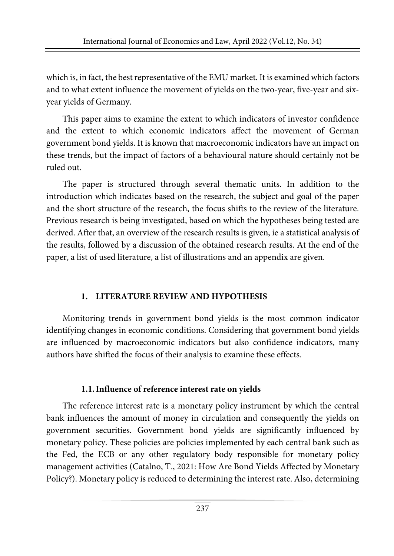which is, in fact, the best representative of the EMU market. It is examined which factors and to what extent influence the movement of yields on the two-year, five-year and sixyear yields of Germany.

This paper aims to examine the extent to which indicators of investor confidence and the extent to which economic indicators affect the movement of German government bond yields. It is known that macroeconomic indicators have an impact on these trends, but the impact of factors of a behavioural nature should certainly not be ruled out.

The paper is structured through several thematic units. In addition to the introduction which indicates based on the research, the subject and goal of the paper and the short structure of the research, the focus shifts to the review of the literature. Previous research is being investigated, based on which the hypotheses being tested are derived. After that, an overview of the research results is given, ie a statistical analysis of the results, followed by a discussion of the obtained research results. At the end of the paper, a list of used literature, a list of illustrations and an appendix are given.

# **1. LITERATURE REVIEW AND HYPOTHESIS**

Monitoring trends in government bond yields is the most common indicator identifying changes in economic conditions. Considering that government bond yields are influenced by macroeconomic indicators but also confidence indicators, many authors have shifted the focus of their analysis to examine these effects.

# **1.1.Influence of reference interest rate on yields**

The reference interest rate is a monetary policy instrument by which the central bank influences the amount of money in circulation and consequently the yields on government securities. Government bond yields are significantly influenced by monetary policy. These policies are policies implemented by each central bank such as the Fed, the ECB or any other regulatory body responsible for monetary policy management activities (Catalno, T., 2021: How Are Bond Yields Affected by Monetary Policy?). Monetary policy is reduced to determining the interest rate. Also, determining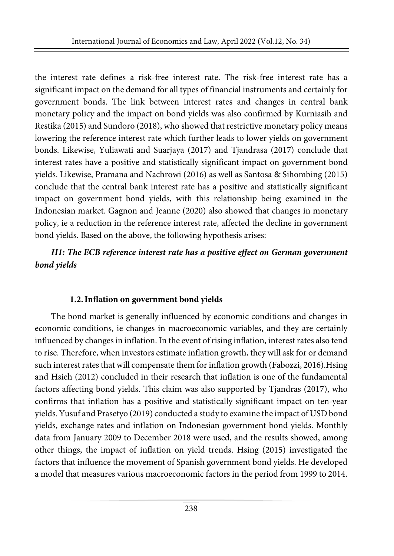the interest rate defines a risk-free interest rate. The risk-free interest rate has a significant impact on the demand for all types of financial instruments and certainly for government bonds. The link between interest rates and changes in central bank monetary policy and the impact on bond yields was also confirmed by Kurniasih and Restika (2015) and Sundoro (2018), who showed that restrictive monetary policy means lowering the reference interest rate which further leads to lower yields on government bonds. Likewise, Yuliawati and Suarjaya (2017) and Tjandrasa (2017) conclude that interest rates have a positive and statistically significant impact on government bond yields. Likewise, Pramana and Nachrowi (2016) as well as Santosa & Sihombing (2015) conclude that the central bank interest rate has a positive and statistically significant impact on government bond yields, with this relationship being examined in the Indonesian market. Gagnon and Jeanne (2020) also showed that changes in monetary policy, ie a reduction in the reference interest rate, affected the decline in government bond yields. Based on the above, the following hypothesis arises:

# *H1: The ECB reference interest rate has a positive effect on German government bond yields*

# **1.2.Inflation on government bond yields**

The bond market is generally influenced by economic conditions and changes in economic conditions, ie changes in macroeconomic variables, and they are certainly influenced by changes in inflation. In the event of rising inflation, interest rates also tend to rise. Therefore, when investors estimate inflation growth, they will ask for or demand such interest rates that will compensate them for inflation growth (Fabozzi, 2016).Hsing and Hsieh (2012) concluded in their research that inflation is one of the fundamental factors affecting bond yields. This claim was also supported by Tjandras (2017), who confirms that inflation has a positive and statistically significant impact on ten-year yields. Yusuf and Prasetyo (2019) conducted a study to examine the impact of USD bond yields, exchange rates and inflation on Indonesian government bond yields. Monthly data from January 2009 to December 2018 were used, and the results showed, among other things, the impact of inflation on yield trends. Hsing (2015) investigated the factors that influence the movement of Spanish government bond yields. He developed a model that measures various macroeconomic factors in the period from 1999 to 2014.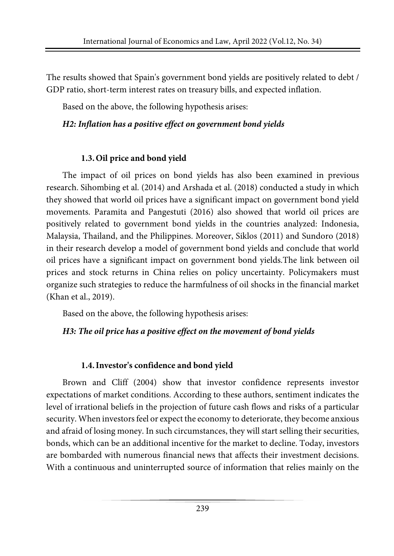The results showed that Spain's government bond yields are positively related to debt / GDP ratio, short-term interest rates on treasury bills, and expected inflation.

Based on the above, the following hypothesis arises:

### *H2: Inflation has a positive effect on government bond yields*

# **1.3.Oil price and bond yield**

The impact of oil prices on bond yields has also been examined in previous research. Sihombing et al. (2014) and Arshada et al. (2018) conducted a study in which they showed that world oil prices have a significant impact on government bond yield movements. Paramita and Pangestuti (2016) also showed that world oil prices are positively related to government bond yields in the countries analyzed: Indonesia, Malaysia, Thailand, and the Philippines. Moreover, Siklos (2011) and Sundoro (2018) in their research develop a model of government bond yields and conclude that world oil prices have a significant impact on government bond yields.The link between oil prices and stock returns in China relies on policy uncertainty. Policymakers must organize such strategies to reduce the harmfulness of oil shocks in the financial market (Khan et al., 2019).

Based on the above, the following hypothesis arises:

*H3: The oil price has a positive effect on the movement of bond yields*

# **1.4.Investor's confidence and bond yield**

Brown and Cliff (2004) show that investor confidence represents investor expectations of market conditions. According to these authors, sentiment indicates the level of irrational beliefs in the projection of future cash flows and risks of a particular security. When investors feel or expect the economy to deteriorate, they become anxious and afraid of losing money. In such circumstances, they will start selling their securities, bonds, which can be an additional incentive for the market to decline. Today, investors are bombarded with numerous financial news that affects their investment decisions. With a continuous and uninterrupted source of information that relies mainly on the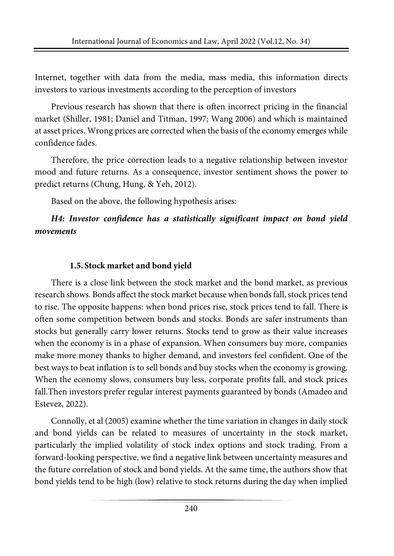Internet, together with data from the media, mass media, this information directs investors to various investments according to the perception of investors

Previous research has shown that there is often incorrect pricing in the financial market (Shiller, 1981; Daniel and Titman, 1997; Wang 2006) and which is maintained at asset prices. Wrong prices are corrected when the basis of the economy emerges while confidence fades.

Therefore, the price correction leads to a negative relationship between investor mood and future returns. As a consequence, investor sentiment shows the power to predict returns (Chung, Hung, & Yeh, 2012).

Based on the above, the following hypothesis arises:

# *H4: Investor confidence has a statistically significant impact on bond yield movements*

# **1.5.Stock market and bond yield**

There is a close link between the stock market and the bond market, as previous research shows. Bonds affect the stock market because when bonds fall, stock prices tend to rise. The opposite happens: when bond prices rise, stock prices tend to fall. There is often some competition between bonds and stocks. Bonds are safer instruments than stocks but generally carry lower returns. Stocks tend to grow as their value increases when the economy is in a phase of expansion. When consumers buy more, companies make more money thanks to higher demand, and investors feel confident. One of the best ways to beat inflation is to sell bonds and buy stocks when the economy is growing. When the economy slows, consumers buy less, corporate profits fall, and stock prices fall.Then investors prefer regular interest payments guaranteed by bonds (Amadeo and Estevez, 2022).

Connolly, et al (2005) examine whether the time variation in changes in daily stock and bond yields can be related to measures of uncertainty in the stock market, particularly the implied volatility of stock index options and stock trading. From a forward-looking perspective, we find a negative link between uncertainty measures and the future correlation of stock and bond yields. At the same time, the authors show that bond yields tend to be high (low) relative to stock returns during the day when implied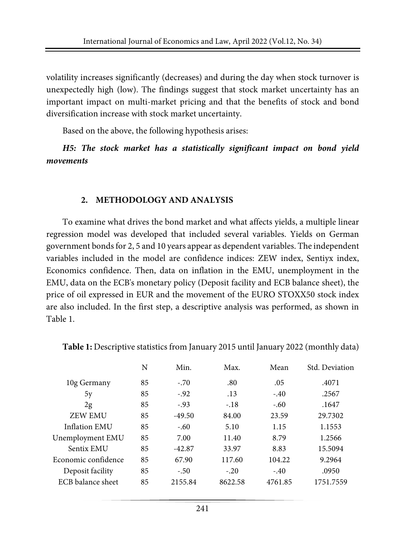volatility increases significantly (decreases) and during the day when stock turnover is unexpectedly high (low). The findings suggest that stock market uncertainty has an important impact on multi-market pricing and that the benefits of stock and bond diversification increase with stock market uncertainty.

Based on the above, the following hypothesis arises:

*H5: The stock market has a statistically significant impact on bond yield movements*

#### **2. METHODOLOGY AND ANALYSIS**

To examine what drives the bond market and what affects yields, a multiple linear regression model was developed that included several variables. Yields on German government bondsfor 2, 5 and 10 years appear as dependent variables. The independent variables included in the model are confidence indices: ZEW index, Sentiyx index, Economics confidence. Then, data on inflation in the EMU, unemployment in the EMU, data on the ECB's monetary policy (Deposit facility and ECB balance sheet), the price of oil expressed in EUR and the movement of the EURO STOXX50 stock index are also included. In the first step, a descriptive analysis was performed, as shown in Table 1.

|                     | N  | Min.     | Max.    | Mean    | Std. Deviation |
|---------------------|----|----------|---------|---------|----------------|
| 10g Germany         | 85 | $-.70$   | .80     | .05     | .4071          |
| 5y                  | 85 | $-.92$   | .13     | $-.40$  | .2567          |
| 2g                  | 85 | $-.93$   | $-.18$  | $-.60$  | .1647          |
| <b>ZEW EMU</b>      | 85 | $-49.50$ | 84.00   | 23.59   | 29.7302        |
| Inflation EMU       | 85 | $-.60$   | 5.10    | 1.15    | 1.1553         |
| Unemployment EMU    | 85 | 7.00     | 11.40   | 8.79    | 1.2566         |
| Sentix EMU          | 85 | $-42.87$ | 33.97   | 8.83    | 15.5094        |
| Economic confidence | 85 | 67.90    | 117.60  | 104.22  | 9.2964         |
| Deposit facility    | 85 | $-.50$   | $-.20$  | $-.40$  | .0950          |
| ECB balance sheet   | 85 | 2155.84  | 8622.58 | 4761.85 | 1751.7559      |
|                     |    |          |         |         |                |

**Table 1:** Descriptive statistics from January 2015 until January 2022 (monthly data)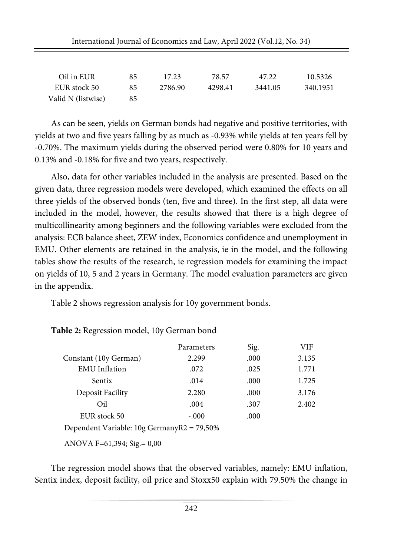| Oil in EUR         | 85 | 17.23   | 78.57   | 47.22   | 10.5326  |
|--------------------|----|---------|---------|---------|----------|
| EUR stock 50       | 85 | 2786.90 | 4298.41 | 3441.05 | 340.1951 |
| Valid N (listwise) | 85 |         |         |         |          |

As can be seen, yields on German bonds had negative and positive territories, with yields at two and five years falling by as much as -0.93% while yields at ten years fell by -0.70%. The maximum yields during the observed period were 0.80% for 10 years and 0.13% and -0.18% for five and two years, respectively.

Also, data for other variables included in the analysis are presented. Based on the given data, three regression models were developed, which examined the effects on all three yields of the observed bonds (ten, five and three). In the first step, all data were included in the model, however, the results showed that there is a high degree of multicollinearity among beginners and the following variables were excluded from the analysis: ECB balance sheet, ZEW index, Economics confidence and unemployment in EMU. Other elements are retained in the analysis, ie in the model, and the following tables show the results of the research, ie regression models for examining the impact on yields of 10, 5 and 2 years in Germany. The model evaluation parameters are given in the appendix.

Table 2 shows regression analysis for 10y government bonds.

|                                            | Parameters | Sig. | VIF   |
|--------------------------------------------|------------|------|-------|
| Constant (10y German)                      | 2.299      | .000 | 3.135 |
| <b>EMU</b> Inflation                       | .072       | .025 | 1.771 |
| Sentix                                     | .014       | .000 | 1.725 |
| Deposit Facility                           | 2.280      | .000 | 3.176 |
| Oil                                        | .004       | .307 | 2.402 |
| EUR stock 50                               | $-.000$    | .000 |       |
| Dependent Variable: 10g GermanyR2 = 79,50% |            |      |       |

#### **Table 2:** Regression model, 10y German bond

ANOVA F=61,394; Sig.= 0,00

The regression model shows that the observed variables, namely: EMU inflation, Sentix index, deposit facility, oil price and Stoxx50 explain with 79.50% the change in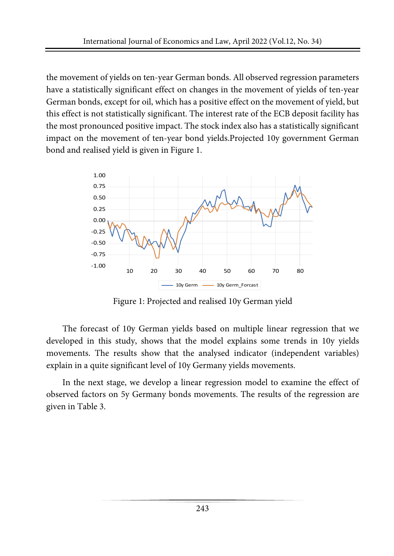the movement of yields on ten-year German bonds. All observed regression parameters have a statistically significant effect on changes in the movement of yields of ten-year German bonds, except for oil, which has a positive effect on the movement of yield, but this effect is not statistically significant. The interest rate of the ECB deposit facility has the most pronounced positive impact. The stock index also has a statistically significant impact on the movement of ten-year bond yields.Projected 10y government German bond and realised yield is given in Figure 1.



Figure 1: Projected and realised 10y German yield

The forecast of 10y German yields based on multiple linear regression that we developed in this study, shows that the model explains some trends in 10y yields movements. The results show that the analysed indicator (independent variables) explain in a quite significant level of 10y Germany yields movements.

In the next stage, we develop a linear regression model to examine the effect of observed factors on 5y Germany bonds movements. The results of the regression are given in Table 3.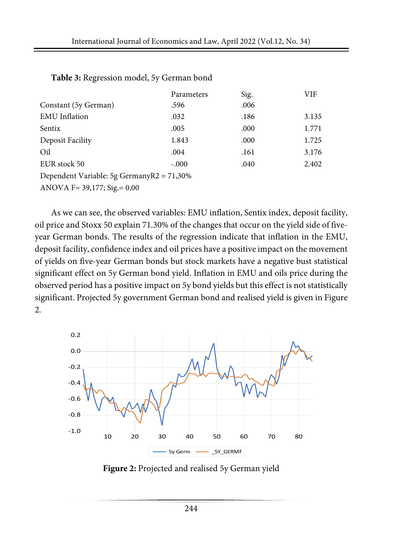|                                           | Parameters | Sig. | VIF   |
|-------------------------------------------|------------|------|-------|
| Constant (5y German)                      | .596       | .006 |       |
| <b>EMU</b> Inflation                      | .032       | .186 | 3.135 |
| Sentix                                    | .005       | .000 | 1.771 |
| Deposit Facility                          | 1.843      | .000 | 1.725 |
| Oil                                       | .004       | .161 | 3.176 |
| EUR stock 50                              | $-.000$    | .040 | 2.402 |
| Dependent Variable: 5g GermanyR2 = 71,30% |            |      |       |
| ANOVA F= $39,177$ ; Sig. = $0,00$         |            |      |       |

#### **Table 3:** Regression model, 5y German bond

As we can see, the observed variables: EMU inflation, Sentix index, deposit facility, oil price and Stoxx 50 explain 71.30% of the changes that occur on the yield side of fiveyear German bonds. The results of the regression indicate that inflation in the EMU, deposit facility, confidence index and oil prices have a positive impact on the movement of yields on five-year German bonds but stock markets have a negative bust statistical significant effect on 5y German bond yield. Inflation in EMU and oils price during the observed period has a positive impact on 5y bond yields but this effect is not statistically significant. Projected 5y government German bond and realised yield is given in Figure 2.



**Figure 2:** Projected and realised 5y German yield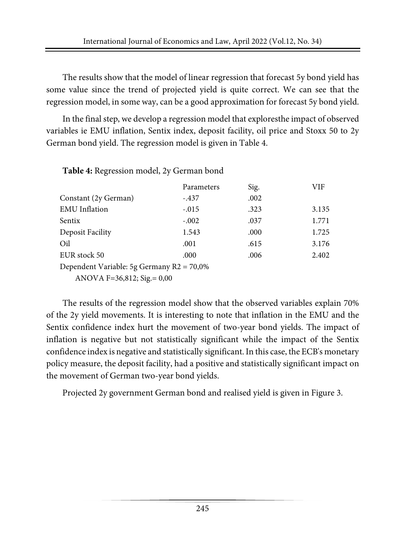The results show that the model of linear regression that forecast 5y bond yield has some value since the trend of projected yield is quite correct. We can see that the regression model, in some way, can be a good approximation for forecast 5y bond yield.

In the final step, we develop a regression model that exploresthe impact of observed variables ie EMU inflation, Sentix index, deposit facility, oil price and Stoxx 50 to 2y German bond yield. The regression model is given in Table 4.

**Table 4:** Regression model, 2y German bond

|                                              | Parameters | Sig. | VIF   |
|----------------------------------------------|------------|------|-------|
| Constant (2y German)                         | $-.437$    | .002 |       |
| <b>EMU</b> Inflation                         | $-.015$    | .323 | 3.135 |
| Sentix                                       | $-.002$    | .037 | 1.771 |
| Deposit Facility                             | 1.543      | .000 | 1.725 |
| Oil                                          | .001       | .615 | 3.176 |
| EUR stock 50                                 | .000       | .006 | 2.402 |
| Dependent Variable: 5g Germany $R2 = 70,0\%$ |            |      |       |
| ANOVA F=36,812; Sig. = $0,00$                |            |      |       |

The results of the regression model show that the observed variables explain 70% of the 2y yield movements. It is interesting to note that inflation in the EMU and the Sentix confidence index hurt the movement of two-year bond yields. The impact of inflation is negative but not statistically significant while the impact of the Sentix confidence index is negative and statistically significant.In this case, the ECB's monetary policy measure, the deposit facility, had a positive and statistically significant impact on the movement of German two-year bond yields.

Projected 2y government German bond and realised yield is given in Figure 3.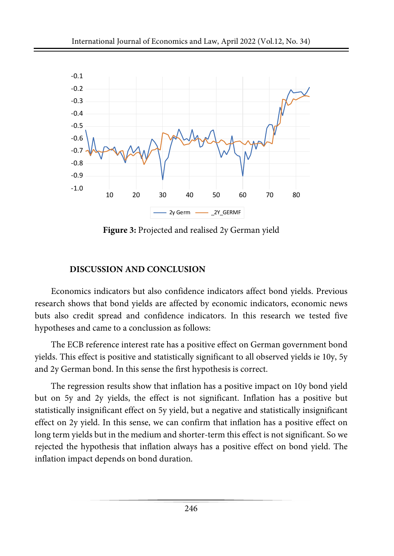

**Figure 3:** Projected and realised 2y German yield

### **DISCUSSION AND CONCLUSION**

Economics indicators but also confidence indicators affect bond yields. Previous research shows that bond yields are affected by economic indicators, economic news buts also credit spread and confidence indicators. In this research we tested five hypotheses and came to a conclussion as follows:

The ECB reference interest rate has a positive effect on German government bond yields. This effect is positive and statistically significant to all observed yields ie 10y, 5y and 2y German bond. In this sense the first hypothesis is correct.

The regression results show that inflation has a positive impact on 10y bond yield but on 5y and 2y yields, the effect is not significant. Inflation has a positive but statistically insignificant effect on 5y yield, but a negative and statistically insignificant effect on 2y yield. In this sense, we can confirm that inflation has a positive effect on long term yields but in the medium and shorter-term this effect is not significant. So we rejected the hypothesis that inflation always has a positive effect on bond yield. The inflation impact depends on bond duration.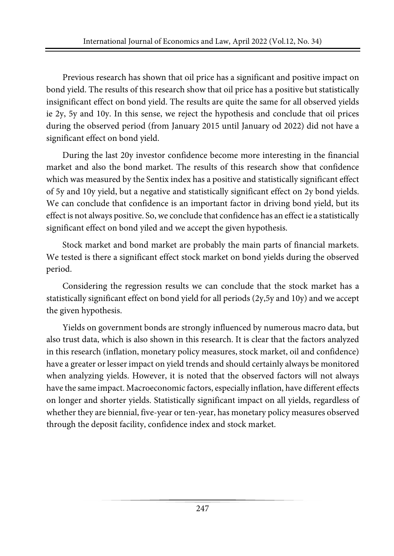Previous research has shown that oil price has a significant and positive impact on bond yield. The results of this research show that oil price has a positive but statistically insignificant effect on bond yield. The results are quite the same for all observed yields ie 2y, 5y and 10y. In this sense, we reject the hypothesis and conclude that oil prices during the observed period (from January 2015 until January od 2022) did not have a significant effect on bond yield.

During the last 20y investor confidence become more interesting in the financial market and also the bond market. The results of this research show that confidence which was measured by the Sentix index has a positive and statistically significant effect of 5y and 10y yield, but a negative and statistically significant effect on 2y bond yields. We can conclude that confidence is an important factor in driving bond yield, but its effect is not always positive. So, we conclude that confidence has an effect ie a statistically significant effect on bond yiled and we accept the given hypothesis.

Stock market and bond market are probably the main parts of financial markets. We tested is there a significant effect stock market on bond yields during the observed period.

Considering the regression results we can conclude that the stock market has a statistically significant effect on bond yield for all periods (2y,5y and 10y) and we accept the given hypothesis.

Yields on government bonds are strongly influenced by numerous macro data, but also trust data, which is also shown in this research. It is clear that the factors analyzed in this research (inflation, monetary policy measures, stock market, oil and confidence) have a greater or lesser impact on yield trends and should certainly always be monitored when analyzing yields. However, it is noted that the observed factors will not always have the same impact. Macroeconomic factors, especially inflation, have different effects on longer and shorter yields. Statistically significant impact on all yields, regardless of whether they are biennial, five-year or ten-year, has monetary policy measures observed through the deposit facility, confidence index and stock market.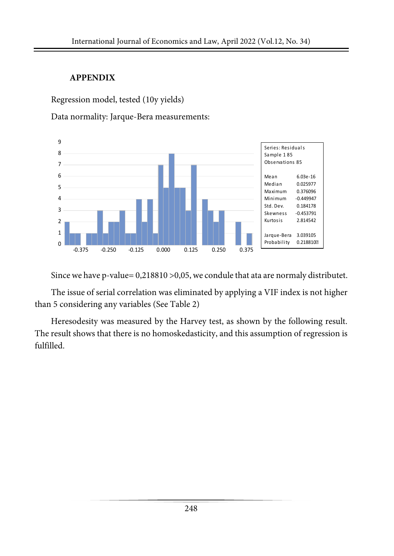### **APPENDIX**

Regression model, tested (10y yields)

Data normality: Jarque-Bera measurements:



Since we have p-value= 0,218810 >0,05, we condule that ata are normaly distributet.

The issue of serial correlation was eliminated by applying a VIF index is not higher than 5 considering any variables (See Table 2)

Heresodesity was measured by the Harvey test, as shown by the following result. The result shows that there is no homoskedasticity, and this assumption of regression is fulfilled.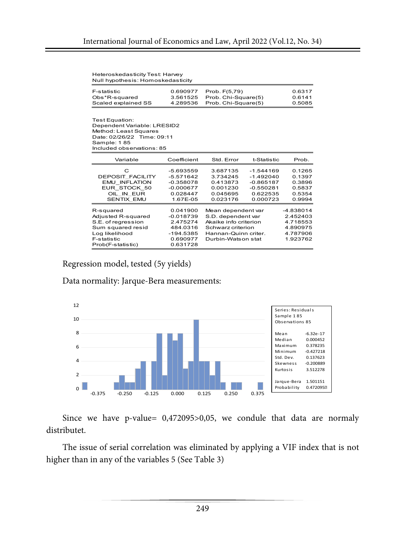| Heteros kedasticity Test: Harvey  |  |
|-----------------------------------|--|
| Null hypothesis: Homoskedasticity |  |

| F-statistic         | 0.690977 | Prob. F(5.79)       | 0.6317 |
|---------------------|----------|---------------------|--------|
| Obs*R-squared       | 3.561525 | Prob. Chi-Square(5) | 0.6141 |
| Scaled explained SS | 4.289536 | Prob. Chi-Square(5) | 0.5085 |

Test Equation: Dependent Variable: LRESID2 Method: Least Squares Date: 02/26/22 Time: 09:11 Sample: 1 85 Included observations: 85

| Variable                                                                                                                                | Coefficient                                                                          | Std. Error                                                                                                                           | t-Statistic                                                                      | Prob.                                                                 |
|-----------------------------------------------------------------------------------------------------------------------------------------|--------------------------------------------------------------------------------------|--------------------------------------------------------------------------------------------------------------------------------------|----------------------------------------------------------------------------------|-----------------------------------------------------------------------|
| C<br><b>DEPOSIT FACILITY</b><br><b>INFLATION</b><br>EMU<br>EUR STOCK 50<br>OIL IN EUR<br><b>SENTIX EMU</b>                              | -5.693559<br>$-5.571642$<br>$-0.358078$<br>$-0.000677$<br>0.028447<br>1.67E-05       | 3.687135<br>3.734245<br>0.413873<br>0.001230<br>0.045695<br>0.023176                                                                 | $-1.544169$<br>$-1.492040$<br>$-0.865187$<br>$-0.550281$<br>0.622535<br>0.000723 | 0.1265<br>0.1397<br>0.3896<br>0.5837<br>0.5354<br>0.9994              |
| R-squared<br>Adiusted R-squared<br>S.E. of regression<br>Sum squared resid<br>Log likelihood<br><b>F-statistic</b><br>Prob(F-statistic) | 0.041900<br>$-0.018739$<br>2.475274<br>484.0316<br>-194.5385<br>0.690977<br>0.631728 | Mean dependent var<br>S.D. dependent var<br>Akaike info criterion<br>Schwarz criterion<br>Hannan-Quinn criter.<br>Durbin-Watson stat |                                                                                  | -4.838014<br>2.452403<br>4.718553<br>4.890975<br>4.787906<br>1.923762 |

Regression model, tested (5y yields)

Data normality: Jarque-Bera measurements:



Since we have p-value= 0,472095>0,05, we condule that data are normaly distributet.

The issue of serial correlation was eliminated by applying a VIF index that is not higher than in any of the variables 5 (See Table 3)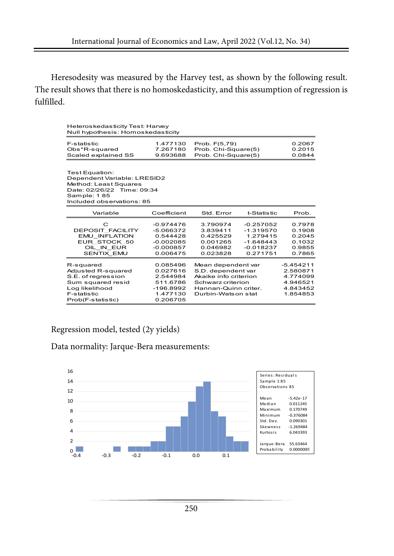Heresodesity was measured by the Harvey test, as shown by the following result. The result shows that there is no homoskedasticity, and this assumption of regression is fulfilled.

| Heteroskedasticity Test: Harvey<br>Null hypothesis: Homoskedasticity                                                                             |                                                                                     |                                                                                                                                      |                                                                                  |                                                                         |  |
|--------------------------------------------------------------------------------------------------------------------------------------------------|-------------------------------------------------------------------------------------|--------------------------------------------------------------------------------------------------------------------------------------|----------------------------------------------------------------------------------|-------------------------------------------------------------------------|--|
| F-statistic<br>Obs*R-squared<br>Scaled explained SS                                                                                              | 1.477130<br>7.267180<br>9.693688                                                    | Prob. F(5.79)<br>Prob. Chi-Square(5)<br>Prob. Chi-Square(5)                                                                          | 0.2067<br>0.2015<br>0.0844                                                       |                                                                         |  |
| Test Equation:<br>Dependent Variable: LRESID2<br>Method: Least Squares<br>Date: 02/26/22 Time: 09:34<br>Sample: 185<br>Included observations: 85 |                                                                                     |                                                                                                                                      |                                                                                  |                                                                         |  |
| Variable                                                                                                                                         | Coefficient                                                                         | Std. Error                                                                                                                           | t-Statistic                                                                      | Prob.                                                                   |  |
| C<br><b>DEPOSIT FACILITY</b><br><b>EMU INFLATION</b><br>EUR STOCK 50<br>OIL IN EUR<br><b>SENTIX EMU</b>                                          | $-0.974476$<br>$-5.066372$<br>0.544428<br>$-0.002085$<br>$-0.000857$<br>0.006475    | 3.790974<br>3.839411<br>0.425529<br>0.001265<br>0.046982<br>0.023828                                                                 | $-0.257052$<br>$-1.319570$<br>1.279415<br>$-1.648443$<br>$-0.018237$<br>0.271751 | 0.7978<br>0.1908<br>0.2045<br>0.1032<br>0.9855<br>0.7865                |  |
| R-squared<br>Adjusted R-squared<br>S.E. of rearession<br>Sum squared resid<br>Log likelihood<br>F-statistic<br>Prob(F-statistic)                 | 0.085496<br>0.027616<br>2.544984<br>511.6786<br>$-196.8992$<br>1.477130<br>0.206705 | Mean dependent var<br>S.D. dependent var<br>Akaike info criterion<br>Schwarz criterion<br>Hannan-Quinn criter.<br>Durbin-Watson stat |                                                                                  | $-5.454211$<br>2.580871<br>4.774099<br>4.946521<br>4.843452<br>1.854853 |  |

Regression model, tested (2y yields)

Data normality: Jarque-Bera measurements:

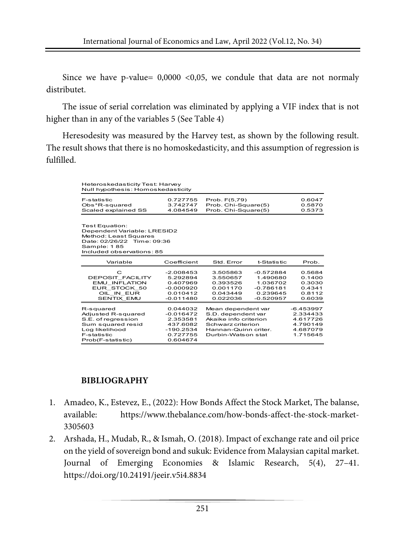Since we have p-value=  $0,0000 < 0,05$ , we condule that data are not normaly distributet.

The issue of serial correlation was eliminated by applying a VIF index that is not higher than in any of the variables 5 (See Table 4)

Heresodesity was measured by the Harvey test, as shown by the following result. The result shows that there is no homoskedasticity, and this assumption of regression is fulfilled.

| Heteroskedasticity Test: Harvey<br>Null hypothesis: Homoskedasticity                                                                             |                                                                                        |                                                                                                                                      |                                                                               |                                                                         |
|--------------------------------------------------------------------------------------------------------------------------------------------------|----------------------------------------------------------------------------------------|--------------------------------------------------------------------------------------------------------------------------------------|-------------------------------------------------------------------------------|-------------------------------------------------------------------------|
| <b>F-statistic</b><br>Obs*R-squared<br>Scaled explained SS                                                                                       | 0.727755<br>3.742747<br>4.084549                                                       | Prob. F(5,79)<br>Prob. Chi-Square(5)<br>Prob. Chi-Square(5)                                                                          |                                                                               | 0.6047<br>0.5870<br>0.5373                                              |
| Test Equation:<br>Dependent Variable: LRESID2<br>Method: Least Squares<br>Date: 02/26/22 Time: 09:36<br>Sample: 185<br>Included observations: 85 |                                                                                        |                                                                                                                                      |                                                                               |                                                                         |
| Variable                                                                                                                                         | Coefficient                                                                            | Std. Error                                                                                                                           | t-Statistic                                                                   | Prob.                                                                   |
| C<br>DEPOSIT FACILITY<br><b>EMU INFLATION</b><br>EUR STOCK 50<br>OIL IN EUR<br>SENTIX EMU                                                        | $-2.008453$<br>5.292894<br>0.407969<br>$-0.000920$<br>0.010412<br>$-0.011480$          | 3.505863<br>3.550657<br>0.393526<br>0.001170<br>0.043449<br>0.022036                                                                 | $-0.572884$<br>1.490680<br>1.036702<br>$-0.786181$<br>0.239645<br>$-0.520957$ | 0.5684<br>0.1400<br>0.3030<br>0.4341<br>0.8112<br>0.6039                |
| R-squared<br>Adiusted R-squared<br>S.E. of rearession<br>Sum squared resid<br>Log likelihood<br><b>F-statistic</b><br>Prob(F-statistic)          | 0.044032<br>$-0.016472$<br>2.353581<br>437.6082<br>$-190.2534$<br>0.727755<br>0.604674 | Mean dependent var<br>S.D. dependent var<br>Akaike info criterion<br>Schwarz criterion<br>Hannan-Quinn criter.<br>Durbin-Watson stat |                                                                               | $-6.453997$<br>2.334433<br>4.617726<br>4.790149<br>4.687079<br>1.715645 |

#### **BIBLIOGRAPHY**

- 1. Amadeo, K., Estevez, E., (2022): How Bonds Affect the Stock Market, The balanse, available: https://www.thebalance.com/how-bonds-affect-the-stock-market-3305603
- 2. Arshada, H., Mudab, R., & Ismah, O. (2018). Impact of exchange rate and oil price on the yield of sovereign bond and sukuk: Evidence from Malaysian capital market. Journal of Emerging Economies & Islamic Research, 5(4), 27–41. https://doi.org/10.24191/jeeir.v5i4.8834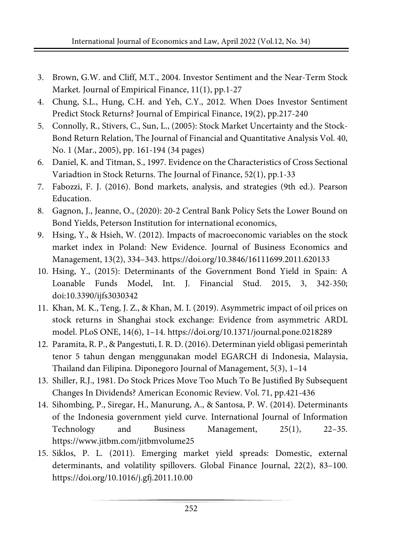- 3. Brown, G.W. and Cliff, M.T., 2004. Investor Sentiment and the Near-Term Stock Market. Journal of Empirical Finance, 11(1), pp.1-27
- 4. Chung, S.L., Hung, C.H. and Yeh, C.Y., 2012. When Does Investor Sentiment Predict Stock Returns? Journal of Empirical Finance, 19(2), pp.217-240
- 5. Connolly, R., Stivers, C., Sun, L., (2005): Stock Market Uncertainty and the Stock-Bond Return Relation, The Journal of Financial and Quantitative Analysis Vol. 40, No. 1 (Mar., 2005), pp. 161-194 (34 pages)
- 6. Daniel, K. and Titman, S., 1997. Evidence on the Characteristics of Cross Sectional Variadtion in Stock Returns. The Journal of Finance, 52(1), pp.1-33
- 7. Fabozzi, F. J. (2016). Bond markets, analysis, and strategies (9th ed.). Pearson Education.
- 8. Gagnon, J., Jeanne, O., (2020): 20-2 Central Bank Policy Sets the Lower Bound on Bond Yields, Peterson Institution for international economics,
- 9. Hsing, Y., & Hsieh, W. (2012). Impacts of macroeconomic variables on the stock market index in Poland: New Evidence. Journal of Business Economics and Management, 13(2), 334–343. https://doi.org/10.3846/16111699.2011.620133
- 10. Hsing, Y., (2015): Determinants of the Government Bond Yield in Spain: A Loanable Funds Model, Int. J. Financial Stud. 2015, 3, 342-350; doi:10.3390/ijfs3030342
- 11. Khan, M. K., Teng, J. Z., & Khan, M. I. (2019). Asymmetric impact of oil prices on stock returns in Shanghai stock exchange: Evidence from asymmetric ARDL model. PLoS ONE, 14(6), 1–14. https://doi.org/10.1371/journal.pone.0218289
- 12. Paramita, R. P., & Pangestuti, I. R. D. (2016). Determinan yield obligasi pemerintah tenor 5 tahun dengan menggunakan model EGARCH di Indonesia, Malaysia, Thailand dan Filipina. Diponegoro Journal of Management, 5(3), 1–14
- 13. Shiller, R.J., 1981. Do Stock Prices Move Too Much To Be Justified By Subsequent Changes In Dividends? American Economic Review. Vol. 71, pp.421-436
- 14. Sihombing, P., Siregar, H., Manurung, A., & Santosa, P. W. (2014). Determinants of the Indonesia government yield curve. International Journal of Information Technology and Business Management, 25(1), 22–35. https://www.jitbm.com/jitbmvolume25
- 15. Siklos, P. L. (2011). Emerging market yield spreads: Domestic, external determinants, and volatility spillovers. Global Finance Journal, 22(2), 83–100. https://doi.org/10.1016/j.gfj.2011.10.00